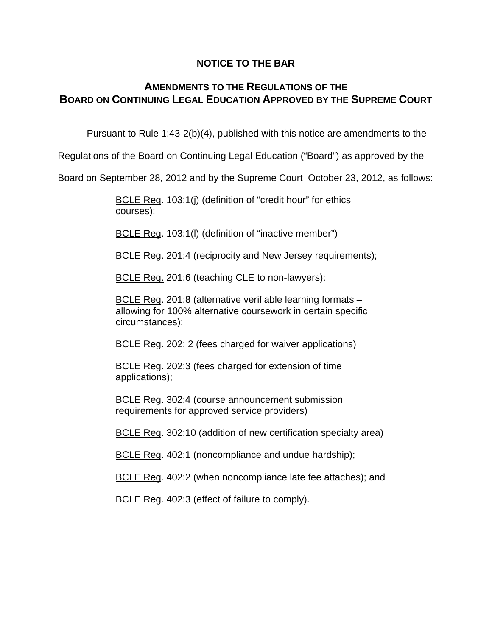#### **NOTICE TO THE BAR**

## **AMENDMENTS TO THE REGULATIONS OF THE BOARD ON CONTINUING LEGAL EDUCATION APPROVED BY THE SUPREME COURT**

Pursuant to Rule 1:43-2(b)(4), published with this notice are amendments to the

Regulations of the Board on Continuing Legal Education ("Board") as approved by the

Board on September 28, 2012 and by the Supreme Court October 23, 2012, as follows:

 BCLE Reg. 103:1(j) (definition of "credit hour" for ethics courses);

BCLE Reg. 103:1(I) (definition of "inactive member")

BCLE Reg. 201:4 (reciprocity and New Jersey requirements);

BCLE Reg. 201:6 (teaching CLE to non-lawyers):

BCLE Reg. 201:8 (alternative verifiable learning formats – allowing for 100% alternative coursework in certain specific circumstances);

BCLE Reg. 202: 2 (fees charged for waiver applications)

BCLE Reg. 202:3 (fees charged for extension of time applications);

BCLE Reg. 302:4 (course announcement submission requirements for approved service providers)

BCLE Reg. 302:10 (addition of new certification specialty area)

BCLE Reg. 402:1 (noncompliance and undue hardship);

BCLE Reg. 402:2 (when noncompliance late fee attaches); and

BCLE Reg. 402:3 (effect of failure to comply).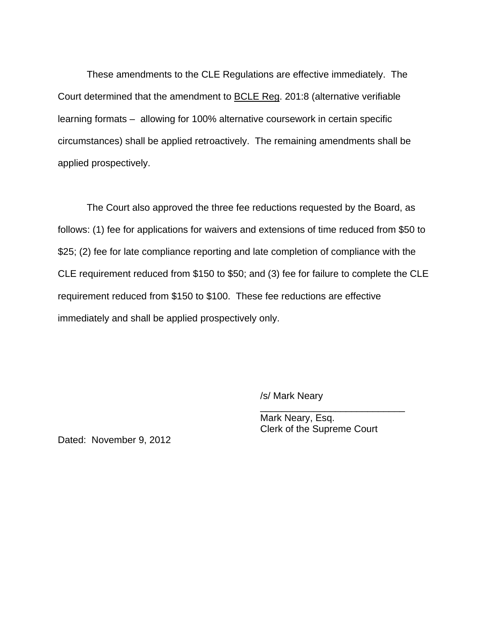These amendments to the CLE Regulations are effective immediately. The Court determined that the amendment to BCLE Reg. 201:8 (alternative verifiable learning formats – allowing for 100% alternative coursework in certain specific circumstances) shall be applied retroactively. The remaining amendments shall be applied prospectively.

The Court also approved the three fee reductions requested by the Board, as follows: (1) fee for applications for waivers and extensions of time reduced from \$50 to \$25; (2) fee for late compliance reporting and late completion of compliance with the CLE requirement reduced from \$150 to \$50; and (3) fee for failure to complete the CLE requirement reduced from \$150 to \$100. These fee reductions are effective immediately and shall be applied prospectively only.

 $\overline{\phantom{a}}$  , and the contract of the contract of the contract of the contract of the contract of the contract of the contract of the contract of the contract of the contract of the contract of the contract of the contrac

/s/ Mark Neary

 Mark Neary, Esq. Clerk of the Supreme Court

Dated: November 9, 2012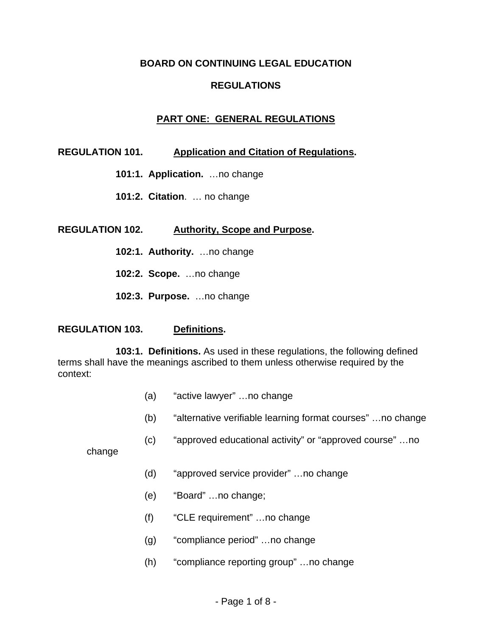#### **BOARD ON CONTINUING LEGAL EDUCATION**

## **REGULATIONS**

## **PART ONE: GENERAL REGULATIONS**

### **REGULATION 101. Application and Citation of Regulations.**

- **101:1. Application.** …no change
- **101:2. Citation**. … no change

#### **REGULATION 102. Authority, Scope and Purpose.**

- **102:1. Authority.** …no change
- **102:2. Scope.** …no change
- **102:3. Purpose.** …no change

#### **REGULATION 103. Definitions.**

**103:1. Definitions.** As used in these regulations, the following defined terms shall have the meanings ascribed to them unless otherwise required by the context:

- (a) "active lawyer" …no change
- (b) "alternative verifiable learning format courses" …no change
- (c) "approved educational activity" or "approved course" …no

change

- (d) "approved service provider" …no change
- (e) "Board" …no change;
- (f) "CLE requirement" …no change
- (g) "compliance period" …no change
- (h) "compliance reporting group" …no change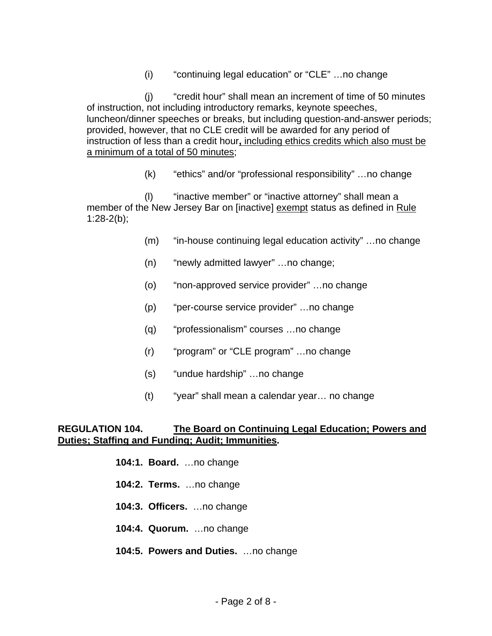(i) "continuing legal education" or "CLE" …no change

(j) "credit hour" shall mean an increment of time of 50 minutes of instruction, not including introductory remarks, keynote speeches, luncheon/dinner speeches or breaks, but including question-and-answer periods; provided, however, that no CLE credit will be awarded for any period of instruction of less than a credit hour**,** including ethics credits which also must be a minimum of a total of 50 minutes;

(k) "ethics" and/or "professional responsibility" …no change

(l) "inactive member" or "inactive attorney" shall mean a member of the New Jersey Bar on [inactive] exempt status as defined in Rule 1:28-2(b);

- (m) "in-house continuing legal education activity" …no change
- (n) "newly admitted lawyer" …no change;
- (o) "non-approved service provider" …no change
- (p) "per-course service provider" …no change
- (q) "professionalism" courses …no change
- (r) "program" or "CLE program" …no change
- (s) "undue hardship" …no change
- (t) "year" shall mean a calendar year… no change

#### **REGULATION 104. The Board on Continuing Legal Education; Powers and Duties; Staffing and Funding; Audit; Immunities.**

- **104:1. Board.** …no change
- **104:2. Terms.** …no change
- **104:3. Officers.** …no change
- **104:4. Quorum.** …no change
- **104:5. Powers and Duties.** …no change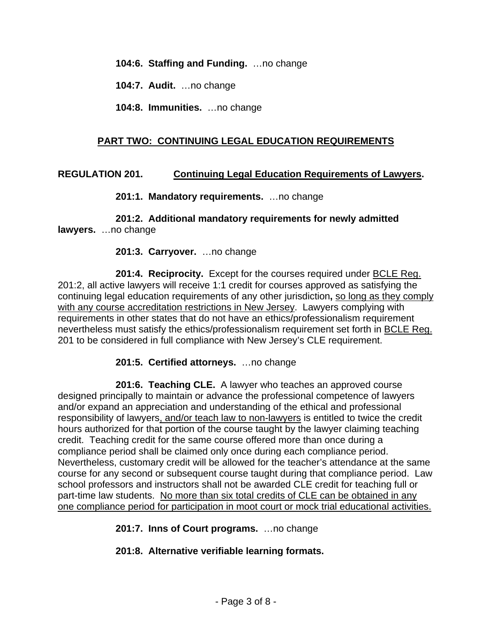**104:6. Staffing and Funding.** …no change

**104:7. Audit.** …no change

**104:8. Immunities.** …no change

## **PART TWO: CONTINUING LEGAL EDUCATION REQUIREMENTS**

#### **REGULATION 201. Continuing Legal Education Requirements of Lawyers.**

**201:1. Mandatory requirements.** …no change

**201:2. Additional mandatory requirements for newly admitted lawyers.** …no change

#### **201:3. Carryover.** …no change

**201:4. Reciprocity.** Except for the courses required under BCLE Reg. 201:2, all active lawyers will receive 1:1 credit for courses approved as satisfying the continuing legal education requirements of any other jurisdiction**,** so long as they comply with any course accreditation restrictions in New Jersey. Lawyers complying with requirements in other states that do not have an ethics/professionalism requirement nevertheless must satisfy the ethics/professionalism requirement set forth in BCLE Reg. 201 to be considered in full compliance with New Jersey's CLE requirement.

#### **201:5. Certified attorneys.** …no change

**201:6. Teaching CLE.** A lawyer who teaches an approved course designed principally to maintain or advance the professional competence of lawyers and/or expand an appreciation and understanding of the ethical and professional responsibility of lawyers, and/or teach law to non-lawyers is entitled to twice the credit hours authorized for that portion of the course taught by the lawyer claiming teaching credit. Teaching credit for the same course offered more than once during a compliance period shall be claimed only once during each compliance period. Nevertheless, customary credit will be allowed for the teacher's attendance at the same course for any second or subsequent course taught during that compliance period. Law school professors and instructors shall not be awarded CLE credit for teaching full or part-time law students. No more than six total credits of CLE can be obtained in any one compliance period for participation in moot court or mock trial educational activities.

**201:7. Inns of Court programs.** …no change

**201:8. Alternative verifiable learning formats.**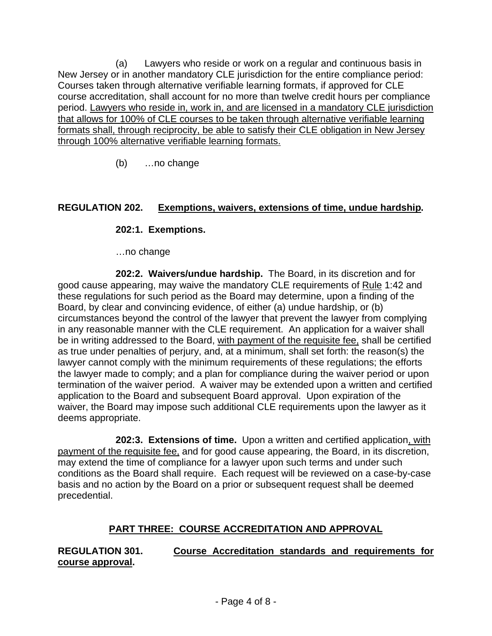(a) Lawyers who reside or work on a regular and continuous basis in New Jersey or in another mandatory CLE jurisdiction for the entire compliance period: Courses taken through alternative verifiable learning formats, if approved for CLE course accreditation, shall account for no more than twelve credit hours per compliance period. Lawyers who reside in, work in, and are licensed in a mandatory CLE jurisdiction that allows for 100% of CLE courses to be taken through alternative verifiable learning formats shall, through reciprocity, be able to satisfy their CLE obligation in New Jersey through 100% alternative verifiable learning formats.

(b) …no change

## **REGULATION 202. Exemptions, waivers, extensions of time, undue hardship.**

## **202:1. Exemptions.**

…no change

**202:2. Waivers/undue hardship.** The Board, in its discretion and for good cause appearing, may waive the mandatory CLE requirements of Rule 1:42 and these regulations for such period as the Board may determine, upon a finding of the Board, by clear and convincing evidence, of either (a) undue hardship, or (b) circumstances beyond the control of the lawyer that prevent the lawyer from complying in any reasonable manner with the CLE requirement. An application for a waiver shall be in writing addressed to the Board, with payment of the requisite fee, shall be certified as true under penalties of perjury, and, at a minimum, shall set forth: the reason(s) the lawyer cannot comply with the minimum requirements of these regulations; the efforts the lawyer made to comply; and a plan for compliance during the waiver period or upon termination of the waiver period. A waiver may be extended upon a written and certified application to the Board and subsequent Board approval. Upon expiration of the waiver, the Board may impose such additional CLE requirements upon the lawyer as it deems appropriate.

**202:3. Extensions of time.** Upon a written and certified application, with payment of the requisite fee, and for good cause appearing, the Board, in its discretion, may extend the time of compliance for a lawyer upon such terms and under such conditions as the Board shall require. Each request will be reviewed on a case-by-case basis and no action by the Board on a prior or subsequent request shall be deemed precedential.

# **PART THREE: COURSE ACCREDITATION AND APPROVAL**

**REGULATION 301. Course Accreditation standards and requirements for course approval.**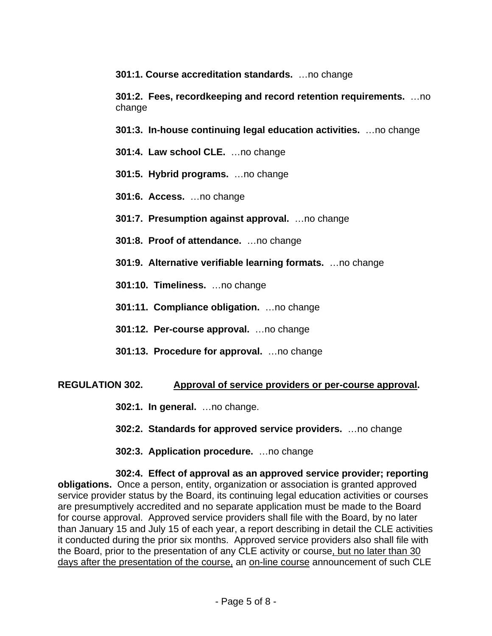**301:1. Course accreditation standards.** …no change

**301:2. Fees, recordkeeping and record retention requirements.** …no change

**301:3. In-house continuing legal education activities.** …no change

- **301:4. Law school CLE.** …no change
- **301:5. Hybrid programs.** …no change
- **301:6. Access.** …no change
- **301:7. Presumption against approval.** …no change
- **301:8. Proof of attendance.** …no change
- **301:9. Alternative verifiable learning formats.** …no change
- **301:10. Timeliness.** …no change
- **301:11. Compliance obligation.** …no change
- **301:12. Per-course approval.** …no change
- **301:13. Procedure for approval.** …no change

## **REGULATION 302. Approval of service providers or per-course approval.**

- **302:1. In general.** …no change.
- **302:2. Standards for approved service providers.** …no change
- **302:3. Application procedure.** …no change

**302:4. Effect of approval as an approved service provider; reporting obligations.** Once a person, entity, organization or association is granted approved service provider status by the Board, its continuing legal education activities or courses are presumptively accredited and no separate application must be made to the Board for course approval. Approved service providers shall file with the Board, by no later than January 15 and July 15 of each year, a report describing in detail the CLE activities it conducted during the prior six months. Approved service providers also shall file with the Board, prior to the presentation of any CLE activity or course, but no later than 30 days after the presentation of the course, an on-line course announcement of such CLE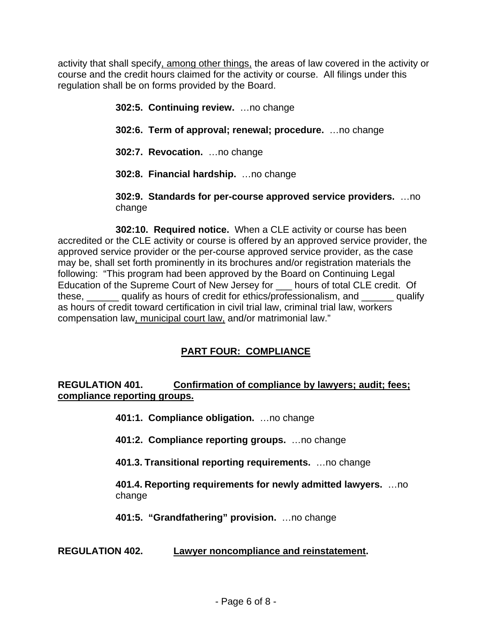activity that shall specify, among other things, the areas of law covered in the activity or course and the credit hours claimed for the activity or course. All filings under this regulation shall be on forms provided by the Board.

> **302:5. Continuing review.** …no change **302:6. Term of approval; renewal; procedure.** …no change **302:7. Revocation.** …no change **302:8. Financial hardship.** …no change

**302:9. Standards for per-course approved service providers.** …no change

**302:10. Required notice.** When a CLE activity or course has been accredited or the CLE activity or course is offered by an approved service provider, the approved service provider or the per-course approved service provider, as the case may be, shall set forth prominently in its brochures and/or registration materials the following: "This program had been approved by the Board on Continuing Legal Education of the Supreme Court of New Jersey for \_\_\_ hours of total CLE credit. Of these, equalify as hours of credit for ethics/professionalism, and qualify as hours of credit toward certification in civil trial law, criminal trial law, workers compensation law, municipal court law, and/or matrimonial law."

# **PART FOUR: COMPLIANCE**

# **REGULATION 401. Confirmation of compliance by lawyers; audit; fees; compliance reporting groups.**

- **401:1. Compliance obligation.** …no change
- **401:2. Compliance reporting groups.** …no change
- **401.3. Transitional reporting requirements.** …no change

**401.4. Reporting requirements for newly admitted lawyers.** …no change

**401:5. "Grandfathering" provision.** …no change

# **REGULATION 402. Lawyer noncompliance and reinstatement.**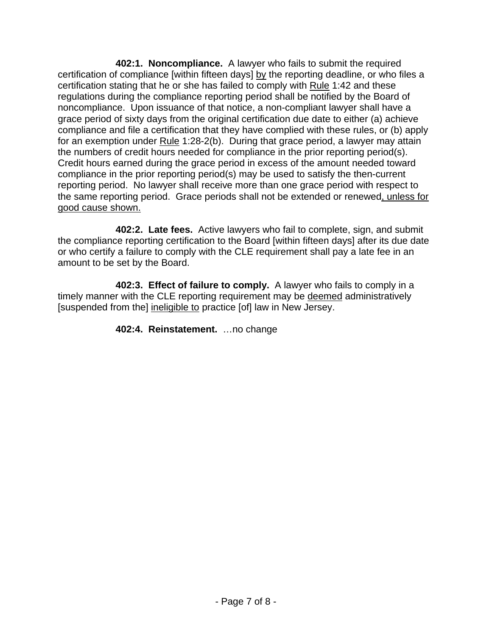**402:1. Noncompliance.** A lawyer who fails to submit the required certification of compliance [within fifteen days] by the reporting deadline, or who files a certification stating that he or she has failed to comply with Rule 1:42 and these regulations during the compliance reporting period shall be notified by the Board of noncompliance. Upon issuance of that notice, a non-compliant lawyer shall have a grace period of sixty days from the original certification due date to either (a) achieve compliance and file a certification that they have complied with these rules, or (b) apply for an exemption under Rule 1:28-2(b). During that grace period, a lawyer may attain the numbers of credit hours needed for compliance in the prior reporting period(s). Credit hours earned during the grace period in excess of the amount needed toward compliance in the prior reporting period(s) may be used to satisfy the then-current reporting period. No lawyer shall receive more than one grace period with respect to the same reporting period. Grace periods shall not be extended or renewed, unless for good cause shown.

**402:2. Late fees.** Active lawyers who fail to complete, sign, and submit the compliance reporting certification to the Board [within fifteen days] after its due date or who certify a failure to comply with the CLE requirement shall pay a late fee in an amount to be set by the Board.

**402:3. Effect of failure to comply.** A lawyer who fails to comply in a timely manner with the CLE reporting requirement may be deemed administratively [suspended from the] ineligible to practice [of] law in New Jersey.

**402:4. Reinstatement.** …no change